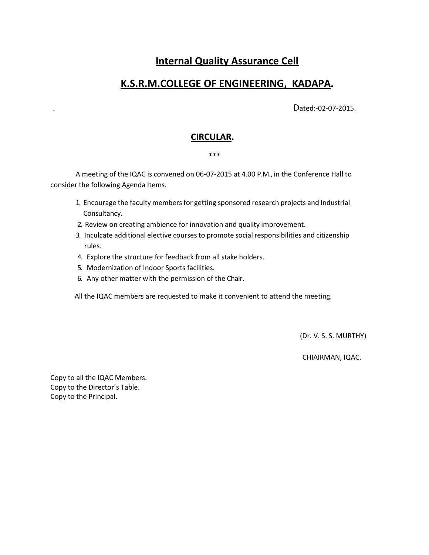# **Internal Quality Assurance Cell**

# **K.S.R.M.COLLEGE OF ENGINEERING, KADAPA.**

Dated:-02-07-2015.

### **CIRCULAR.**

#### \*\*\*

A meeting of the IQAC is convened on 06-07-2015 at 4.00 P.M., in the Conference Hall to consider the following Agenda Items.

- 1. Encourage the faculty members for getting sponsored research projects and Industrial Consultancy.
- 2. Review on creating ambience for innovation and quality improvement.
- 3. Inculcate additional elective courses to promote social responsibilities and citizenship rules.
- 4. Explore the structure for feedback from all stake holders.
- 5. Modernization of Indoor Sports facilities.
- 6. Any other matter with the permission of the Chair.

All the IQAC members are requested to make it convenient to attend the meeting.

(Dr. V. S. S. MURTHY)

CHIAIRMAN, IQAC.

Copy to all the IQAC Members. Copy to the Director's Table. Copy to the Principal.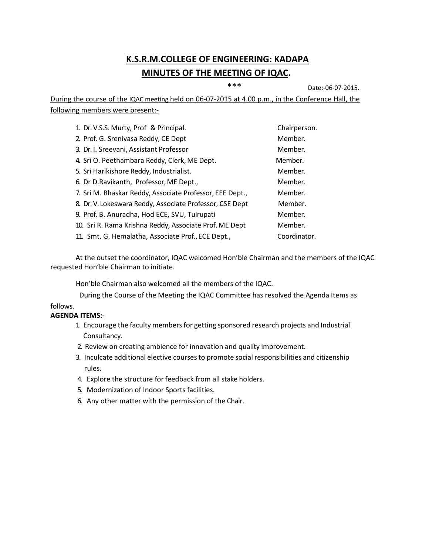# **K.S.R.M.COLLEGE OF ENGINEERING: KADAPA MINUTES OF THE MEETING OF IQAC.**

\*\*\* Date:-06-07-2015.

During the course of the IQAC meeting held on 06-07-2015 at 4.00 p.m., in the Conference Hall, the following members were present:-

| 1. Dr. V.S.S. Murty, Prof & Principal.                   | Chairperson. |
|----------------------------------------------------------|--------------|
| 2. Prof. G. Srenivasa Reddy, CE Dept                     | Member.      |
| 3. Dr. I. Sreevani, Assistant Professor                  | Member.      |
| 4. Sri O. Peethambara Reddy, Clerk, ME Dept.             | Member.      |
| 5. Sri Harikishore Reddy, Industrialist.                 | Member.      |
| 6. Dr D.Ravikanth, Professor, ME Dept.,                  | Member.      |
| 7. Sri M. Bhaskar Reddy, Associate Professor, EEE Dept., | Member.      |
| 8. Dr. V. Lokeswara Reddy, Associate Professor, CSE Dept | Member.      |
| 9. Prof. B. Anuradha, Hod ECE, SVU, Tuirupati            | Member.      |
| 10. Sri R. Rama Krishna Reddy, Associate Prof. ME Dept   | Member.      |
| 11. Smt. G. Hemalatha, Associate Prof., ECE Dept.,       | Coordinator. |

At the outset the coordinator, IQAC welcomed Hon'ble Chairman and the members of the IQAC requested Hon'ble Chairman to initiate.

Hon'ble Chairman also welcomed all the members of the IQAC.

follows. During the Course of the Meeting the IQAC Committee has resolved the Agenda Items as

### **AGENDA ITEMS:-**

- 1. Encourage the faculty members for getting sponsored research projects and Industrial Consultancy.
- 2. Review on creating ambience for innovation and quality improvement.
- 3. Inculcate additional elective coursesto promote social responsibilities and citizenship rules.
- 4. Explore the structure for feedback from all stake holders.
- 5. Modernization of Indoor Sports facilities.
- 6. Any other matter with the permission of the Chair.